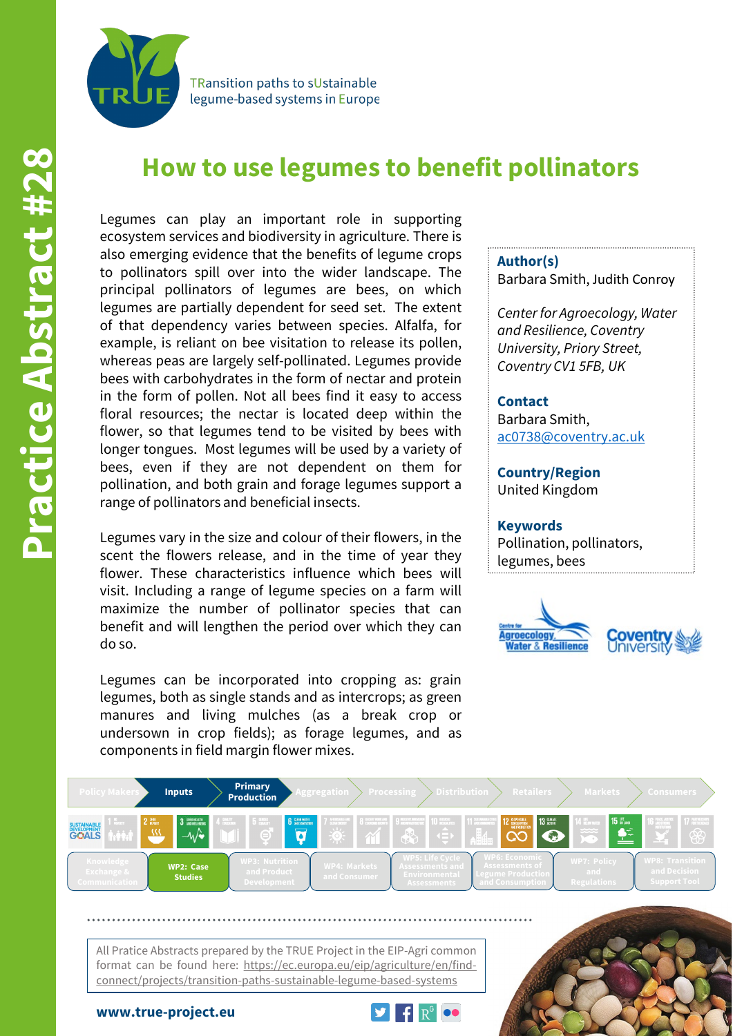

**TRansition paths to sUstainable** legume-based systems in Europe

# **How to use legumes to benefit pollinators**

Legumes can play an important role in supporting ecosystem services and biodiversity in agriculture. There is also emerging evidence that the benefits of legume crops to pollinators spill over into the wider landscape. The principal pollinators of legumes are bees, on which legumes are partially dependent for seed set. The extent of that dependency varies between species. Alfalfa, for example, is reliant on bee visitation to release its pollen, whereas peas are largely self-pollinated. Legumes provide bees with carbohydrates in the form of nectar and protein in the form of pollen. Not all bees find it easy to access floral resources; the nectar is located deep within the flower, so that legumes tend to be visited by bees with longer tongues. Most legumes will be used by a variety of bees, even if they are not dependent on them for pollination, and both grain and forage legumes support a range of pollinators and beneficial insects.

Legumes vary in the size and colour of their flowers, in the scent the flowers release, and in the time of year they flower. These characteristics influence which bees will visit. Including a range of legume species on a farm will maximize the number of pollinator species that can benefit and will lengthen the period over which they can do so.

Legumes can be incorporated into cropping as: grain legumes, both as single stands and as intercrops; as green manures and living mulches (as a break crop or undersown in crop fields); as forage legumes, and as components in field margin flower mixes.

#### **Author(s)**

Barbara Smith, Judith Conroy

*Center for Agroecology, Water and Resilience, Coventry University, Priory Street, Coventry CV1 5FB, UK*

### **Contact**

Barbara Smith, [ac0738@coventry.ac.uk](mailto:ac0738@covetry.ac.uk)

**Country/Region** United Kingdom

#### **Keywords**

Pollination, pollinators, legumes, bees





All Pratice Abstracts prepared by the TRUE Project in the EIP-Agri common format can be found here: https://ec.europa.eu/eip/agriculture/en/findconnect/projects/transition-paths-sustainable-legume-based-systems



**www.true-project.eu**